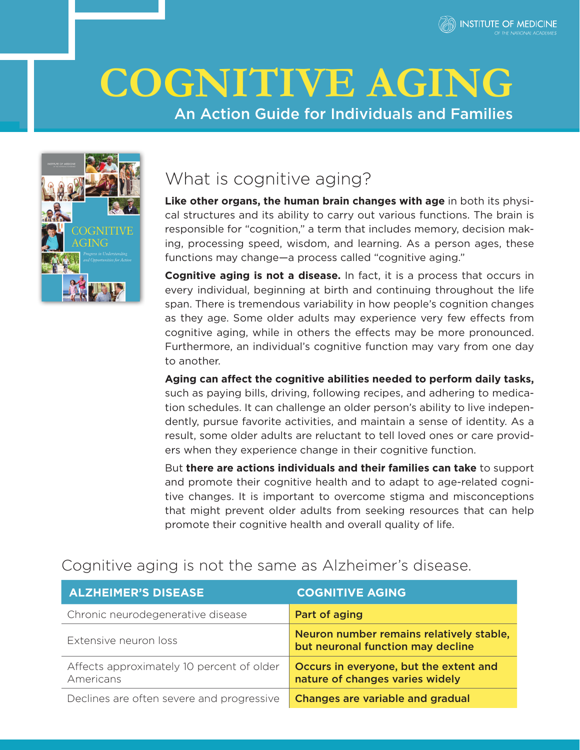

# **COGNITIVE AGING**

# An Action Guide for Individuals and Families



# What is cognitive aging?

**Like other organs, the human brain changes with age** in both its physical structures and its ability to carry out various functions. The brain is responsible for "cognition," a term that includes memory, decision making, processing speed, wisdom, and learning. As a person ages, these functions may change—a process called "cognitive aging."

**Cognitive aging is not a disease.** In fact, it is a process that occurs in every individual, beginning at birth and continuing throughout the life span. There is tremendous variability in how people's cognition changes as they age. Some older adults may experience very few effects from cognitive aging, while in others the effects may be more pronounced. Furthermore, an individual's cognitive function may vary from one day to another.

**Aging can affect the cognitive abilities needed to perform daily tasks,** such as paying bills, driving, following recipes, and adhering to medication schedules. It can challenge an older person's ability to live independently, pursue favorite activities, and maintain a sense of identity. As a result, some older adults are reluctant to tell loved ones or care providers when they experience change in their cognitive function.

But **there are actions individuals and their families can take** to support and promote their cognitive health and to adapt to age-related cognitive changes. It is important to overcome stigma and misconceptions that might prevent older adults from seeking resources that can help promote their cognitive health and overall quality of life.

## Cognitive aging is not the same as Alzheimer's disease.

| <b>ALZHEIMER'S DISEASE</b>                             | <b>COGNITIVE AGING</b>                                                        |
|--------------------------------------------------------|-------------------------------------------------------------------------------|
| Chronic neurodegenerative disease                      | Part of aging                                                                 |
| Extensive neuron loss                                  | Neuron number remains relatively stable,<br>but neuronal function may decline |
| Affects approximately 10 percent of older<br>Americans | Occurs in everyone, but the extent and<br>nature of changes varies widely     |
| Declines are often severe and progressive              | <b>Changes are variable and gradual</b>                                       |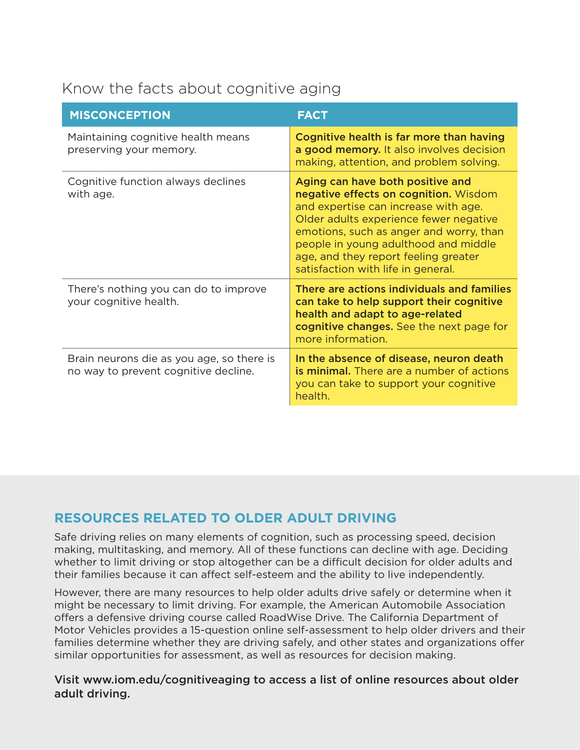# Know the facts about cognitive aging

| <b>MISCONCEPTION</b>                                                              | <b>FACT</b>                                                                                                                                                                                                                                                                                                                  |
|-----------------------------------------------------------------------------------|------------------------------------------------------------------------------------------------------------------------------------------------------------------------------------------------------------------------------------------------------------------------------------------------------------------------------|
| Maintaining cognitive health means<br>preserving your memory.                     | Cognitive health is far more than having<br>a good memory. It also involves decision<br>making, attention, and problem solving.                                                                                                                                                                                              |
| Cognitive function always declines<br>with age.                                   | Aging can have both positive and<br>negative effects on cognition. Wisdom<br>and expertise can increase with age.<br>Older adults experience fewer negative<br>emotions, such as anger and worry, than<br>people in young adulthood and middle<br>age, and they report feeling greater<br>satisfaction with life in general. |
| There's nothing you can do to improve<br>your cognitive health.                   | There are actions individuals and families<br>can take to help support their cognitive<br>health and adapt to age-related<br>cognitive changes. See the next page for<br>more information.                                                                                                                                   |
| Brain neurons die as you age, so there is<br>no way to prevent cognitive decline. | In the absence of disease, neuron death<br><b>is minimal.</b> There are a number of actions<br>you can take to support your cognitive<br>health.                                                                                                                                                                             |

## **RESOURCES RELATED TO OLDER ADULT DRIVING**

Safe driving relies on many elements of cognition, such as processing speed, decision making, multitasking, and memory. All of these functions can decline with age. Deciding whether to limit driving or stop altogether can be a difficult decision for older adults and their families because it can affect self-esteem and the ability to live independently.

However, there are many resources to help older adults drive safely or determine when it might be necessary to limit driving. For example, the American Automobile Association offers a defensive driving course called RoadWise Drive. The California Department of Motor Vehicles provides a 15-question online self-assessment to help older drivers and their families determine whether they are driving safely, and other states and organizations offer similar opportunities for assessment, as well as resources for decision making.

Visit [www.iom.edu/cognitiveaging](http://www.iom.edu/cognitiveaging) to access a list of online resources about older adult driving.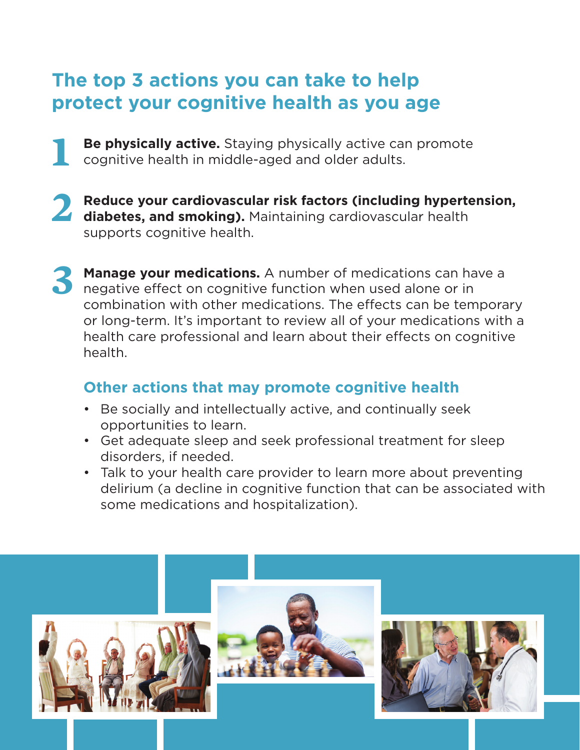# **The top 3 actions you can take to help protect your cognitive health as you age**

- **Be physically active.** Staying physically active can promote cognitive health in middle-aged and older adults.
- **2 Reduce your cardiovascular risk factors (including hypertension, diabetes, and smoking).** Maintaining cardiovascular health supports cognitive health.
- **3 Manage your medications.** A number of medications can have a negative effect on cognitive function when used alone or in combination with other medications. The effects can be temporary or long-term. It's important to review all of your medications with a health care professional and learn about their effects on cognitive health.

# **Other actions that may promote cognitive health**

- Be socially and intellectually active, and continually seek opportunities to learn.
- Get adequate sleep and seek professional treatment for sleep disorders, if needed.
- Talk to your health care provider to learn more about preventing delirium (a decline in cognitive function that can be associated with some medications and hospitalization).